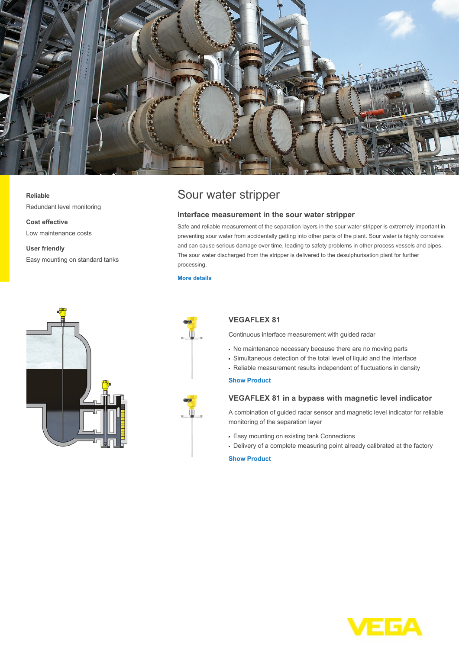

#### **Reliable**

Redundant level monitoring

**Cost effective** Low maintenance costs

**User friendly** Easy mounting on standard tanks





## **Interface measurement in the sour water stripper**

Safe and reliable measurement of the separation layers in the sour water stripper is extremely important in preventing sour water from accidentally getting into other parts of the plant. Sour water is highly corrosive and can cause serious damage over time, leading to safety problems in other process vessels and pipes. The sour water discharged from the stripper is delivered to the desulphurisation plant for further processing.

#### **[More details](http://localhost/en-us/industries/refining-petrochemical/sour-water-stripper)**



# **VEGAFLEX 81**

Continuous interface measurement with guided radar

- No maintenance necessary because there are no moving parts
- Simultaneous detection of the total level of liquid and the Interface
- Reliable measurement results independent of fluctuations in density

### **[Show Product](http://localhost/en-us/products/product-catalog/level/guided-wave-radar/vegaflex-81)**

## **VEGAFLEX 81 in a bypass with magnetic level indicator**

A combination of guided radar sensor and magnetic level indicator for reliable monitoring of the separation layer

- Easy mounting on existing tank Connections
- Delivery of a complete measuring point already calibrated at the factory

#### **[Show Product](http://localhost/en-us/products/product-catalog/level/guided-wave-radar/vegaflex-81)**

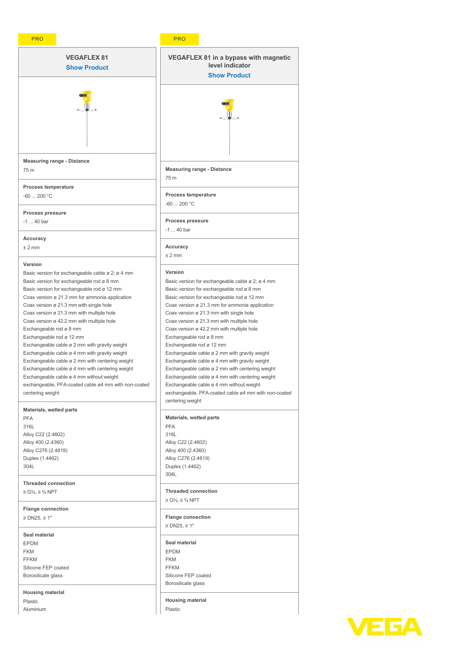| <b>VEGAFLEX 81</b>                                                                                          | <b>VEGAFLEX 81 in a bypass with magnetic</b>                                                  |
|-------------------------------------------------------------------------------------------------------------|-----------------------------------------------------------------------------------------------|
| <b>Show Product</b>                                                                                         | level indicator                                                                               |
|                                                                                                             | <b>Show Product</b>                                                                           |
|                                                                                                             |                                                                                               |
|                                                                                                             |                                                                                               |
|                                                                                                             |                                                                                               |
|                                                                                                             |                                                                                               |
|                                                                                                             |                                                                                               |
|                                                                                                             |                                                                                               |
| <b>Measuring range - Distance</b>                                                                           |                                                                                               |
| 75 m                                                                                                        | <b>Measuring range - Distance</b>                                                             |
| <b>Process temperature</b>                                                                                  | 75 m                                                                                          |
| $-60$ 200 °C                                                                                                | <b>Process temperature</b>                                                                    |
|                                                                                                             | $-60$ 200 °C                                                                                  |
| Process pressure                                                                                            |                                                                                               |
| $-1$ 40 bar                                                                                                 | Process pressure                                                                              |
| Accuracy                                                                                                    | $-1$ 40 bar                                                                                   |
| $±2$ mm                                                                                                     | Accuracy                                                                                      |
|                                                                                                             | ± 2 mm                                                                                        |
| Version                                                                                                     |                                                                                               |
| Basic version for exchangeable cable $\varnothing$ 2; $\varnothing$ 4 mm                                    | Version                                                                                       |
| Basic version for exchangeable rod ø 8 mm<br>Basic version for exchangeable rod ø 12 mm                     | Basic version for exchangeable cable ø 2; ø 4 mm<br>Basic version for exchangeable rod ø 8 mm |
| Coax version ø 21.3 mm for ammonia application                                                              | Basic version for exchangeable rod ø 12 mm                                                    |
| Coax version ø 21.3 mm with single hole                                                                     | Coax version ø 21.3 mm for ammonia application                                                |
| Coax version ø 21.3 mm with multiple hole                                                                   | Coax version ø 21.3 mm with single hole                                                       |
| Coax version ø 42.2 mm with multiple hole                                                                   | Coax version ø 21.3 mm with multiple hole                                                     |
| Exchangeable rod ø 8 mm                                                                                     | Coax version ø 42.2 mm with multiple hole                                                     |
| Exchangeable rod ø 12 mm<br>Exchangeable cable ø 2 mm with gravity weight                                   | Exchangeable rod ø 8 mm<br>Exchangeable rod ø 12 mm                                           |
| Exchangeable cable ø 4 mm with gravity weight                                                               | Exchangeable cable ø 2 mm with gravity weight                                                 |
| Exchangeable cable ø 2 mm with centering weight                                                             | Exchangeable cable ø 4 mm with gravity weight                                                 |
| Exchangeable cable ø 4 mm with centering weight                                                             | Exchangeable cable ø 2 mm with centering weight                                               |
| Exchangeable cable ø 4 mm without weight                                                                    | Exchangeable cable ø 4 mm with centering weight                                               |
| exchangeable, PFA-coated cable ø4 mm with non-coated                                                        | Exchangeable cable ø 4 mm without weight                                                      |
| centering weight                                                                                            | exchangeable, PFA-coated cable ø4 mm with non-coated<br>centering weight                      |
| <b>Materials, wetted parts</b>                                                                              |                                                                                               |
| <b>PFA</b>                                                                                                  | <b>Materials, wetted parts</b>                                                                |
| 316L                                                                                                        | <b>PFA</b>                                                                                    |
| Alloy C22 (2.4602)<br>Alloy 400 (2.4360)                                                                    | 316L<br>Alloy C22 (2.4602)                                                                    |
| Alloy C276 (2.4819)                                                                                         | Alloy 400 (2.4360)                                                                            |
| Duplex (1.4462)                                                                                             | Alloy C276 (2.4819)                                                                           |
| 304L                                                                                                        | Duplex (1.4462)                                                                               |
|                                                                                                             | 304L                                                                                          |
| <b>Threaded connection</b><br>$\geq$ G <sup>3</sup> / <sub>4</sub> , $\geq$ <sup>3</sup> / <sub>4</sub> NPT | <b>Threaded connection</b>                                                                    |
|                                                                                                             | ≥ G <sup>3</sup> / <sub>4</sub> , ≥ <sup>3</sup> / <sub>4</sub> NPT                           |
| <b>Flange connection</b>                                                                                    |                                                                                               |
| $\geq$ DN25, $\geq$ 1"                                                                                      | <b>Flange connection</b>                                                                      |
|                                                                                                             | $\geq$ DN25, $\geq$ 1"                                                                        |
| Seal material                                                                                               | Seal material                                                                                 |
| <b>EPDM</b><br><b>FKM</b>                                                                                   | <b>EPDM</b>                                                                                   |
| <b>FFKM</b>                                                                                                 | <b>FKM</b>                                                                                    |
| Silicone FEP coated                                                                                         | <b>FFKM</b>                                                                                   |
| Borosilicate glass                                                                                          | Silicone FEP coated                                                                           |
|                                                                                                             | Borosilicate glass                                                                            |
| <b>Housing material</b><br>Plastic                                                                          | <b>Housing material</b>                                                                       |
| Aluminium                                                                                                   | Plastic                                                                                       |

# **VEGA**